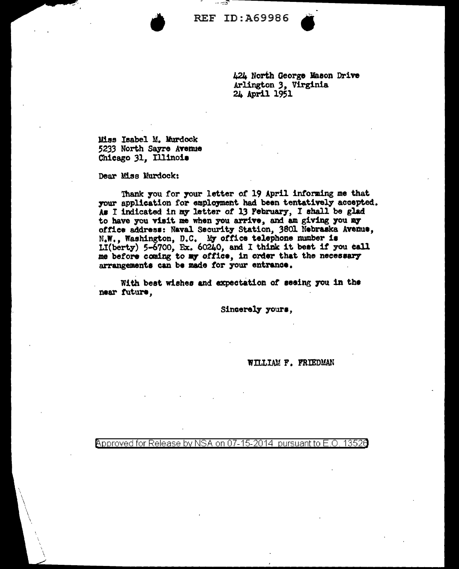**REF ID: A69986** 

424 North George Mason Drive Arlington 3, Virginia 24 April 1951

Miss Isabel M. Murdock 5233 North Sayre Avenue Chicago 31, Illinois

Dear Miss Murdock:

Thank you for your letter of 19 April informing me that your application for employment had been tentatively accepted. As I indicated in my letter of 13 February, I shall be glad to have you visit me when you arrive, and am giving you my office address: Naval Security Station, 3801 Nebraska Avenue, N.W., Washington, D.C. My office telephone number is LI(berty) 5-6700, Ex. 60240, and I think it best if you call me before coming to my office, in order that the necessary arrangements can be made for your entrance.

With best wishes and expectation of seeing you in the near future.

Sincerely yours,

WILLIAM F. FRIEDMAN

Approved for Release by NSA on 07-15-2014 pursuant to E.O 13526